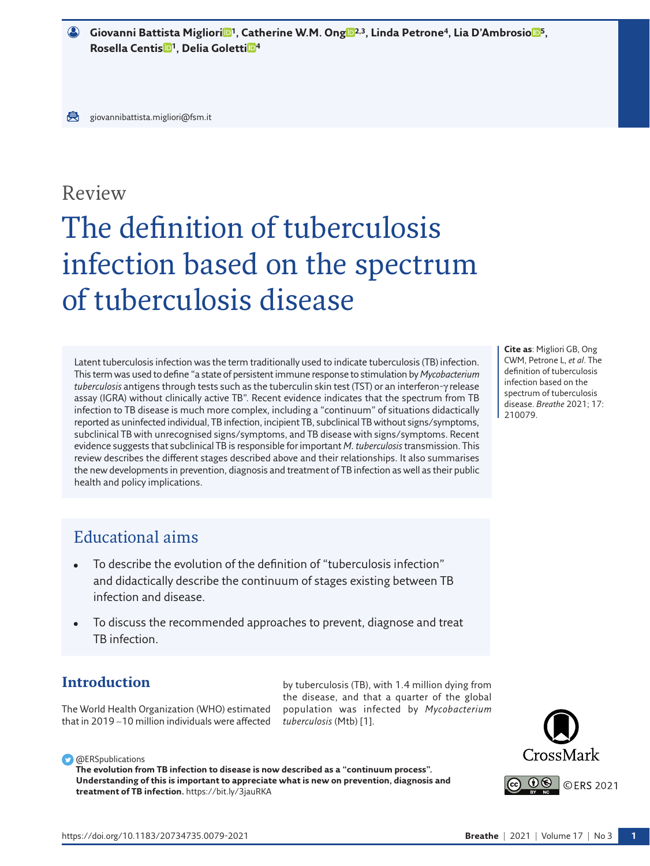$\bullet$  G[i](https://orcid.org/0000-0002-2597-574X)ovanni Battista Mi[g](https://orcid.org/0000-0003-1103-0451)lioriD<sup>1</sup>, Catherine W.M. OngD<sup>2,3</sup>, Linda Petrone<sup>4</sup>, Lia D'AmbrosioD<sup>[5](https://orcid.org/0000-0002-7000-5777)</sup>, **Rosella Centis [1](https://orcid.org/0000-0002-8551-3598), Delia Golett[i](https://orcid.org/0000-0001-8360-4376) <sup>4</sup>**

# Review

# The definition of tuberculosis infection based on the spectrum of tuberculosis disease

Latent tuberculosis infection was the term traditionally used to indicate tuberculosis (TB) infection. This term was used to define "a state of persistent immune response to stimulation by *Mycobacterium tuberculosis* antigens through tests such as the tuberculin skin test (TST) or an interferon-γ release assay (IGRA) without clinically active TB". Recent evidence indicates that the spectrum from TB infection to TB disease is much more complex, including a "continuum" of situations didactically reported as uninfected individual, TB infection, incipient TB, subclinical TB without signs/symptoms, subclinical TB with unrecognised signs/symptoms, and TB disease with signs/symptoms. Recent evidence suggests that subclinical TB is responsible for important *M. tuberculosis* transmission. This review describes the different stages described above and their relationships. It also summarises the new developments in prevention, diagnosis and treatment of TB infection as well as their public health and policy implications.

**Cite as**: Migliori GB, Ong CWM, Petrone L, *et al*. The definition of tuberculosis infection based on the spectrum of tuberculosis disease. *Breathe* 2021; 17: 210079.

# Educational aims

- To describe the evolution of the definition of "tuberculosis infection" and didactically describe the continuum of stages existing between TB infection and disease.
- To discuss the recommended approaches to prevent, diagnose and treat TB infection.

## **Introduction**

The World Health Organization (WHO) estimated that in 2019 ∼10 million individuals were affected

by tuberculosis (TB), with 1.4 million dying from the disease, and that a quarter of the global population was infected by *Mycobacterium tuberculosis* (Mtb) [[1](#page-10-0)].



**The evolution from TB infection to disease is now described as a "continuum process". Understanding of this is important to appreciate what is new on prevention, diagnosis and treatment of TB infection.** <https://bit.ly/3jauRKA>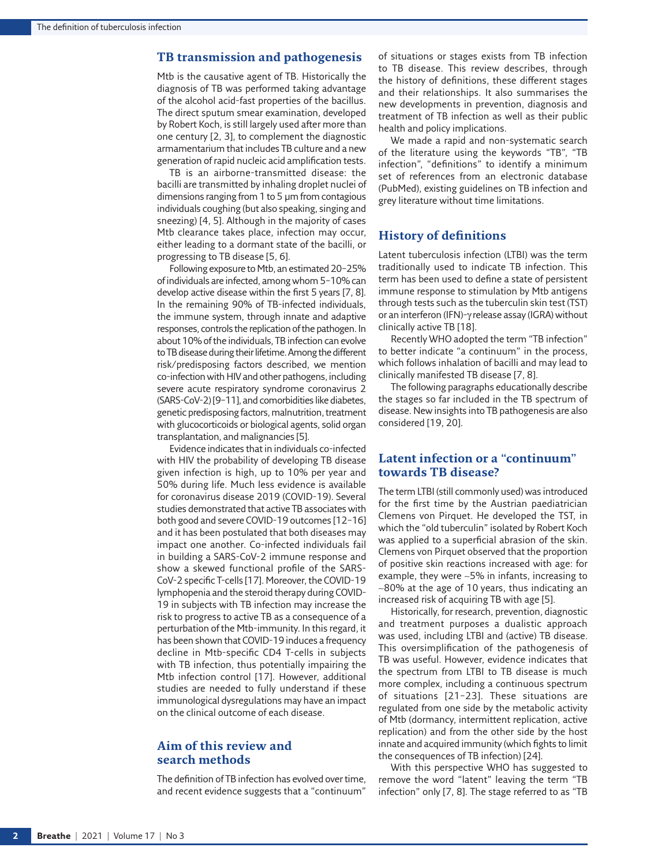#### **TB transmission and pathogenesis**

Mtb is the causative agent of TB. Historically the diagnosis of TB was performed taking advantage of the alcohol acid-fast properties of the bacillus. The direct sputum smear examination, developed by Robert Koch, is still largely used after more than one century [\[2,](#page-10-1) [3\]](#page-10-2), to complement the diagnostic armamentarium that includes TB culture and a new generation of rapid nucleic acid amplification tests.

TB is an airborne-transmitted disease: the bacilli are transmitted by inhaling droplet nuclei of dimensions ranging from 1 to 5 µm from contagious individuals coughing (but also speaking, singing and sneezing) [\[4,](#page-10-3) [5\]](#page-10-4). Although in the majority of cases Mtb clearance takes place, infection may occur, either leading to a dormant state of the bacilli, or progressing to TB disease [\[5,](#page-10-4) [6](#page-10-5)].

Following exposure to Mtb, an estimated 20–25% of individuals are infected, among whom 5–10% can develop active disease within the first 5 years [\[7](#page-10-6), [8\]](#page-10-7). In the remaining 90% of TB-infected individuals, the immune system, through innate and adaptive responses, controls the replication of the pathogen. In about 10% of the individuals, TB infection can evolve to TB disease during their lifetime. Among the different risk/predisposing factors described, we mention co-infection with HIV and other pathogens, including severe acute respiratory syndrome coronavirus 2 (SARS-CoV-2) [\[9](#page-10-8)–[11\]](#page-10-9), and comorbidities like diabetes, genetic predisposing factors, malnutrition, treatment with glucocorticoids or biological agents, solid organ transplantation, and malignancies [\[5](#page-10-4)].

Evidence indicates that in individuals co-infected with HIV the probability of developing TB disease given infection is high, up to 10% per year and 50% during life. Much less evidence is available for coronavirus disease 2019 (COVID-19). Several studies demonstrated that active TB associates with both good and severe COVID-19 outcomes [[12](#page-10-10)–[16](#page-10-11)] and it has been postulated that both diseases may impact one another. Co-infected individuals fail in building a SARS-CoV-2 immune response and show a skewed functional profile of the SARS-CoV-2 specific T-cells [[17](#page-10-12)]. Moreover, the COVID-19 lymphopenia and the steroid therapy during COVID-19 in subjects with TB infection may increase the risk to progress to active TB as a consequence of a perturbation of the Mtb-immunity. In this regard, it has been shown that COVID-19 induces a frequency decline in Mtb-specific CD4 T-cells in subjects with TB infection, thus potentially impairing the Mtb infection control [\[17](#page-10-12)]. However, additional studies are needed to fully understand if these immunological dysregulations may have an impact on the clinical outcome of each disease.

## **Aim of this review and search methods**

The definition of TB infection has evolved over time, and recent evidence suggests that a "continuum"

of situations or stages exists from TB infection to TB disease. This review describes, through the history of definitions, these different stages and their relationships. It also summarises the new developments in prevention, diagnosis and treatment of TB infection as well as their public health and policy implications.

We made a rapid and non-systematic search of the literature using the keywords "TB", "TB infection", "definitions" to identify a minimum set of references from an electronic database (PubMed), existing guidelines on TB infection and grey literature without time limitations.

#### **History of definitions**

Latent tuberculosis infection (LTBI) was the term traditionally used to indicate TB infection. This term has been used to define a state of persistent immune response to stimulation by Mtb antigens through tests such as the tuberculin skin test (TST) or an interferon (IFN)-γ release assay (IGRA) without clinically active TB [[18](#page-10-13)].

Recently WHO adopted the term "TB infection" to better indicate "a continuum" in the process, which follows inhalation of bacilli and may lead to clinically manifested TB disease [\[7,](#page-10-6) [8](#page-10-7)].

The following paragraphs educationally describe the stages so far included in the TB spectrum of disease. New insights into TB pathogenesis are also considered [[19,](#page-10-14) [20\]](#page-10-15).

### **Latent infection or a "continuum" towards TB disease?**

The term LTBI (still commonly used) was introduced for the first time by the Austrian paediatrician Clemens von Pirquet. He developed the TST, in which the "old tuberculin" isolated by Robert Koch was applied to a superficial abrasion of the skin. Clemens von Pirquet observed that the proportion of positive skin reactions increased with age: for example, they were ∼5% in infants, increasing to ∼80% at the age of 10 years, thus indicating an increased risk of acquiring TB with age [\[5](#page-10-4)].

Historically, for research, prevention, diagnostic and treatment purposes a dualistic approach was used, including LTBI and (active) TB disease. This oversimplification of the pathogenesis of TB was useful. However, evidence indicates that the spectrum from LTBI to TB disease is much more complex, including a continuous spectrum of situations [[21](#page-10-16)[–23\]](#page-10-17). These situations are regulated from one side by the metabolic activity of Mtb (dormancy, intermittent replication, active replication) and from the other side by the host innate and acquired immunity (which fights to limit the consequences of TB infection) [\[24](#page-10-18)].

With this perspective WHO has suggested to remove the word "latent" leaving the term "TB infection" only [\[7,](#page-10-6) [8\]](#page-10-7). The stage referred to as "TB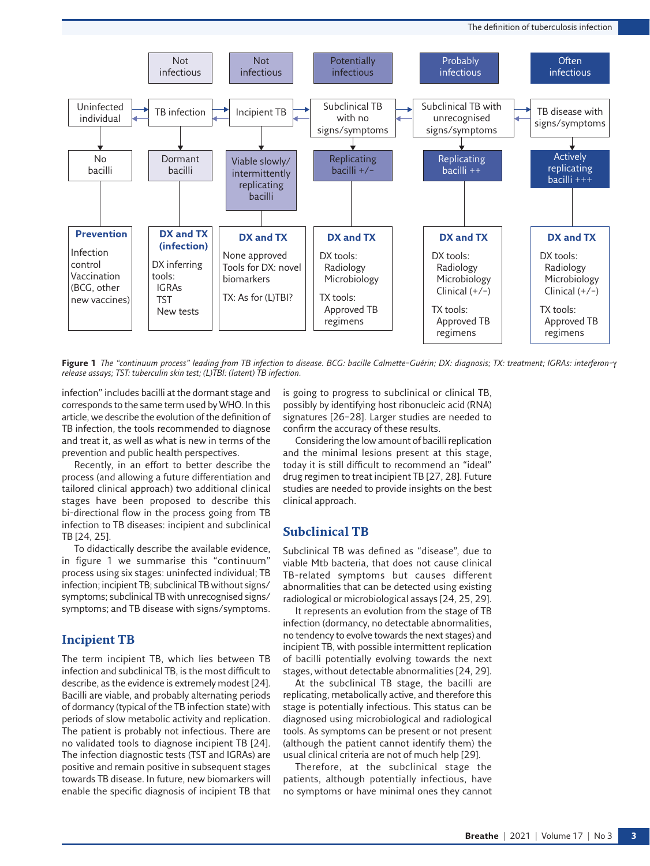

<span id="page-2-0"></span>**Figure 1** *The "continuum process" leading from TB infection to disease. BCG: bacille Calmette–Guérin; DX: diagnosis; TX: treatment; IGRAs: interferon-*γ *release assays; TST: tuberculin skin test; (L)TBI: (latent) TB infection.*

infection" includes bacilli at the dormant stage and corresponds to the same term used by WHO. In this article, we describe the evolution of the definition of TB infection, the tools recommended to diagnose and treat it, as well as what is new in terms of the prevention and public health perspectives.

Recently, in an effort to better describe the process (and allowing a future differentiation and tailored clinical approach) two additional clinical stages have been proposed to describe this bi-directional flow in the process going from TB infection to TB diseases: incipient and subclinical TB [\[24](#page-10-18), [25](#page-11-0)].

To didactically describe the available evidence, in [figure 1](#page-2-0) we summarise this "continuum" process using six stages: uninfected individual; TB infection; incipient TB; subclinical TB without signs/ symptoms; subclinical TB with unrecognised signs/ symptoms; and TB disease with signs/symptoms.

### **Incipient TB**

The term incipient TB, which lies between TB infection and subclinical TB, is the most difficult to describe, as the evidence is extremely modest [[24](#page-10-18)]. Bacilli are viable, and probably alternating periods of dormancy (typical of the TB infection state) with periods of slow metabolic activity and replication. The patient is probably not infectious. There are no validated tools to diagnose incipient TB [\[24](#page-10-18)]. The infection diagnostic tests (TST and IGRAs) are positive and remain positive in subsequent stages towards TB disease. In future, new biomarkers will enable the specific diagnosis of incipient TB that is going to progress to subclinical or clinical TB, possibly by identifying host ribonucleic acid (RNA) signatures [\[26](#page-11-1)[–28](#page-11-2)]. Larger studies are needed to confirm the accuracy of these results.

Considering the low amount of bacilli replication and the minimal lesions present at this stage, today it is still difficult to recommend an "ideal" drug regimen to treat incipient TB [\[27,](#page-11-3) [28\]](#page-11-2). Future studies are needed to provide insights on the best clinical approach.

### **Subclinical TB**

Subclinical TB was defined as "disease", due to viable Mtb bacteria, that does not cause clinical TB-related symptoms but causes different abnormalities that can be detected using existing radiological or microbiological assays [[24](#page-10-18), [25](#page-11-0), [29\]](#page-11-4).

It represents an evolution from the stage of TB infection (dormancy, no detectable abnormalities, no tendency to evolve towards the next stages) and incipient TB, with possible intermittent replication of bacilli potentially evolving towards the next stages, without detectable abnormalities [\[24](#page-10-18), [29\]](#page-11-4).

At the subclinical TB stage, the bacilli are replicating, metabolically active, and therefore this stage is potentially infectious. This status can be diagnosed using microbiological and radiological tools. As symptoms can be present or not present (although the patient cannot identify them) the usual clinical criteria are not of much help [\[29\]](#page-11-4).

Therefore, at the subclinical stage the patients, although potentially infectious, have no symptoms or have minimal ones they cannot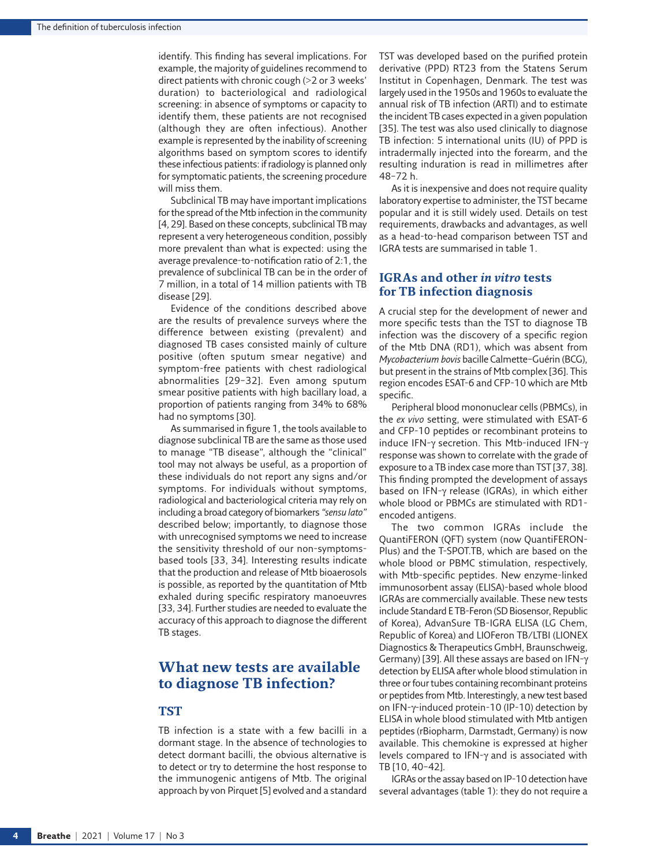identify. This finding has several implications. For example, the majority of guidelines recommend to direct patients with chronic cough (>2 or 3 weeks' duration) to bacteriological and radiological screening: in absence of symptoms or capacity to identify them, these patients are not recognised (although they are often infectious). Another example is represented by the inability of screening algorithms based on symptom scores to identify these infectious patients: if radiology is planned only for symptomatic patients, the screening procedure will miss them.

Subclinical TB may have important implications for the spread of the Mtb infection in the community [[4,](#page-10-3) [29\]](#page-11-4). Based on these concepts, subclinical TB may represent a very heterogeneous condition, possibly more prevalent than what is expected: using the average prevalence-to-notification ratio of 2:1, the prevalence of subclinical TB can be in the order of 7 million, in a total of 14 million patients with TB disease [[29](#page-11-4)].

Evidence of the conditions described above are the results of prevalence surveys where the difference between existing (prevalent) and diagnosed TB cases consisted mainly of culture positive (often sputum smear negative) and symptom-free patients with chest radiological abnormalities [\[29](#page-11-4)–[32](#page-11-5)]. Even among sputum smear positive patients with high bacillary load, a proportion of patients ranging from 34% to 68% had no symptoms [\[30\]](#page-11-6).

As summarised in [figure 1,](#page-2-0) the tools available to diagnose subclinical TB are the same as those used to manage "TB disease", although the "clinical" tool may not always be useful, as a proportion of these individuals do not report any signs and/or symptoms. For individuals without symptoms, radiological and bacteriological criteria may rely on including a broad category of biomarkers *"sensu lato"* described below; importantly, to diagnose those with unrecognised symptoms we need to increase the sensitivity threshold of our non-symptomsbased tools [[33,](#page-11-7) [34\]](#page-11-8). Interesting results indicate that the production and release of Mtb bioaerosols is possible, as reported by the quantitation of Mtb exhaled during specific respiratory manoeuvres [[33](#page-11-7), [34\]](#page-11-8). Further studies are needed to evaluate the accuracy of this approach to diagnose the different TB stages.

## **What new tests are available to diagnose TB infection?**

## **TST**

TB infection is a state with a few bacilli in a dormant stage. In the absence of technologies to detect dormant bacilli, the obvious alternative is to detect or try to determine the host response to the immunogenic antigens of Mtb. The original approach by von Pirquet [[5\]](#page-10-4) evolved and a standard TST was developed based on the purified protein derivative (PPD) RT23 from the Statens Serum Institut in Copenhagen, Denmark. The test was largely used in the 1950s and 1960s to evaluate the annual risk of TB infection (ARTI) and to estimate the incident TB cases expected in a given population [\[35\]](#page-11-9). The test was also used clinically to diagnose TB infection: 5 international units (IU) of PPD is intradermally injected into the forearm, and the resulting induration is read in millimetres after 48–72 h.

As it is inexpensive and does not require quality laboratory expertise to administer, the TST became popular and it is still widely used. Details on test requirements, drawbacks and advantages, as well as a head-to-head comparison between TST and IGRA tests are summarised in [table 1](#page-4-0).

## **IGRAs and other** *in vitro* **tests for TB infection diagnosis**

A crucial step for the development of newer and more specific tests than the TST to diagnose TB infection was the discovery of a specific region of the Mtb DNA (RD1), which was absent from *Mycobacterium bovis* bacille Calmette–Guérin (BCG), but present in the strains of Mtb complex [[36](#page-11-10)]. This region encodes ESAT-6 and CFP-10 which are Mtb specific.

Peripheral blood mononuclear cells (PBMCs), in the *ex vivo* setting, were stimulated with ESAT-6 and CFP-10 peptides or recombinant proteins to induce IFN-γ secretion. This Mtb-induced IFN-γ response was shown to correlate with the grade of exposure to a TB index case more than TST [\[37,](#page-11-11) [38\]](#page-11-12). This finding prompted the development of assays based on IFN-γ release (IGRAs), in which either whole blood or PBMCs are stimulated with RD1 encoded antigens.

The two common IGRAs include the QuantiFERON (QFT) system (now QuantiFERON-Plus) and the T-SPOT.TB, which are based on the whole blood or PBMC stimulation, respectively, with Mtb-specific peptides. New enzyme-linked immunosorbent assay (ELISA)-based whole blood IGRAs are commercially available. These new tests include Standard E TB-Feron (SD Biosensor, Republic of Korea), AdvanSure TB-IGRA ELISA (LG Chem, Republic of Korea) and LIOFeron TB/LTBI (LIONEX Diagnostics & Therapeutics GmbH, Braunschweig, Germany) [[39](#page-11-13)]. All these assays are based on IFN-γ detection by ELISA after whole blood stimulation in three or four tubes containing recombinant proteins or peptides from Mtb. Interestingly, a new test based on IFN-γ-induced protein-10 (IP-10) detection by ELISA in whole blood stimulated with Mtb antigen peptides (rBiopharm, Darmstadt, Germany) is now available. This chemokine is expressed at higher levels compared to IFN-γ and is associated with TB [\[10](#page-10-19), [40](#page-11-14)–[42](#page-11-15)].

IGRAs or the assay based on IP-10 detection have several advantages [\(table 1\)](#page-4-0): they do not require a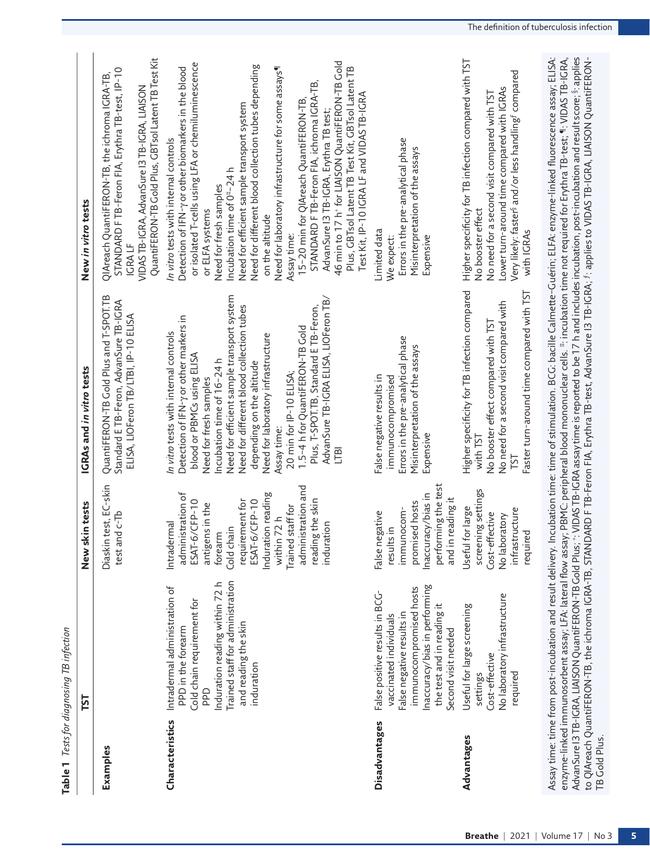<span id="page-4-0"></span>

|                 | Table 1 Tests for diagnosing TB infection                                                                                                                                                                   |                                                                                                                                                                                                                                                    |                                                                                                                                                                                                                                                                                                                                                                                                                                                                                                    |                                                                                                                                                                                                                                                                                                                                                                                                                                                                                                                                                                                                                                                                                                                                          |
|-----------------|-------------------------------------------------------------------------------------------------------------------------------------------------------------------------------------------------------------|----------------------------------------------------------------------------------------------------------------------------------------------------------------------------------------------------------------------------------------------------|----------------------------------------------------------------------------------------------------------------------------------------------------------------------------------------------------------------------------------------------------------------------------------------------------------------------------------------------------------------------------------------------------------------------------------------------------------------------------------------------------|------------------------------------------------------------------------------------------------------------------------------------------------------------------------------------------------------------------------------------------------------------------------------------------------------------------------------------------------------------------------------------------------------------------------------------------------------------------------------------------------------------------------------------------------------------------------------------------------------------------------------------------------------------------------------------------------------------------------------------------|
|                 | E                                                                                                                                                                                                           | New skin tests                                                                                                                                                                                                                                     | IGRAs and in vitro tests                                                                                                                                                                                                                                                                                                                                                                                                                                                                           | New in vitro tests                                                                                                                                                                                                                                                                                                                                                                                                                                                                                                                                                                                                                                                                                                                       |
| Examples        |                                                                                                                                                                                                             | Diaskin test, EC-skin<br>test and c-Tb                                                                                                                                                                                                             | QuantiFERON-TB Gold Plus and T-SPOT.TB<br>Standard E TB-Feron, AdvanSure TB-IGRA<br>ELISA, LIOFeron TB/LTBI, IP-10 ELISA                                                                                                                                                                                                                                                                                                                                                                           | QuantiFERON-TB Gold Plus, GBTsol Latent TB Test Kit<br>STANDARD F TB-Feron FIA, Erythra TB-test, IP-10<br>QIAreach QuantiFERON-TB, the ichroma IGRA-TB<br>VIDAS TB-IGRA, AdvanSure I3 TB-IGRA, LIAISON<br>IGRA LF                                                                                                                                                                                                                                                                                                                                                                                                                                                                                                                        |
| Characteristics | Trained staff for administration<br>Induration reading within 72 h<br>Intradermal administration of<br>Cold chain requirement for<br>and reading the skin<br>PPD in the forearm<br>induration<br><b>Ddd</b> | administration and<br>administration of<br>nduration reading<br>reading the skin<br>requirement for<br>ESAT-6/CFP-10<br>ESAT-6/CFP-10<br>antigens in the<br>Trained staff for<br>within 72 h<br>Intradermal<br>induration<br>Cold chain<br>forearm | Need for efficient sample transport system<br>AdvanSure TB-IGRA ELISA, LIOFeron TB/<br>Need for different blood collection tubes<br>Plus, T-SPOT.TB, Standard E TB-Feron,<br>Detection of IFN-y or other markers in<br>1.5-4 h for QuantiFERON-TB Gold<br>In vitro tests with internal controls<br>Need for laboratory infrastructure<br>blood or PBMCs using ELISA<br>Incubation time of 16-24 h<br>depending on the altitude<br>20 min for IP-10 ELISA;<br>Need for fresh samples<br>Assay time: | 46 min to 17 h <sup>+</sup> for LIAISON QuantiFERON-TB Gold<br>or isolated T-cells using LFA or chemiluminescence<br>Need for different blood collection tubes depending<br>Need for laboratory infrastructure for some assays<br>Plus, GBTsol Latent TB Test Kit, GBTsol Latent TB<br>Detection of IFN-y or other biomarkers in the blood<br>STANDARD F TB-Feron FIA, ichroma IGRA-TB,<br>Test Kit, IP-10 IGRA LF and VIDAS TB-IGRA<br>15-20 min for QIAreach QuantiFERON-TB,<br>Need for efficient sample transport system<br>AdvanSure 13 TB-IGRA, Erythra TB test;<br>In vitro tests with internal controls<br>Incubation time of 0 <sup>#-24</sup> h<br>Need for fresh samples<br>or ELFA systems<br>on the altitude<br>Assay time: |
| Disadvantages   | naccuracy/bias in performing<br>immunocompromised hosts<br>False positive results in BCG-<br>the test and in reading it<br>False negative results in<br>vaccinated individuals<br>Second visit needed       | performing the test<br>naccuracy/bias in<br>and in reading it<br>promised hosts<br>immunocom-<br>False negative<br>results in                                                                                                                      | Errors in the pre-analytical phase<br>Misinterpretation of the assays<br>False negative results in<br>immunocompromised<br>Expensive                                                                                                                                                                                                                                                                                                                                                               | Errors in the pre-analytical phase<br>Misinterpretation of the assays<br>Limited data<br>Expensive<br>We expect:                                                                                                                                                                                                                                                                                                                                                                                                                                                                                                                                                                                                                         |
| Advantages      | No laboratory infrastructure<br>Useful for large screening<br>Cost-effective<br>required<br>settings                                                                                                        | screening settings<br>Useful for large<br>infrastructure<br>Cost-effective<br>No laboratory<br>required                                                                                                                                            | Higher specificity for TB infection compared<br>Faster turn-around time compared with TST<br>No need for a second visit compared with<br>No booster effect compared with TST<br>with TST<br>TST                                                                                                                                                                                                                                                                                                    | Higher specificity for TB infection compared with TST<br>Very likely: faster <sup>s</sup> and/or less handling <sup>5</sup> compared<br>Lower turn-around time compared with IGRAs<br>No need for a second visit compared with TST<br>No booster effect<br>with IGRAs                                                                                                                                                                                                                                                                                                                                                                                                                                                                    |
| TB Gold Plus.   | Assay time: time from post-incubation and result delivery.                                                                                                                                                  |                                                                                                                                                                                                                                                    |                                                                                                                                                                                                                                                                                                                                                                                                                                                                                                    | AdvanSure 13 TB-IGRA, LIAISON QuantiFERON-TB Gold Plus; *: VIDAS TB-IGRA assay time is reported to be 17 h and includes incubation, post-incubation and result score; §: applies<br>enzyme-linked immunosorbent assay; LFA: lateral flow assay; PBMC: peripheral blood mononuclear cells. #: incubation time not required for Erythra TB-test; "I: VIDAS TB-IGRA,<br>Incubation time: time of stimulation. BCG: bacille Calmette-Guérin; ELFA: enzyme-linked fluorescence assay; ELISA:<br>to QIAreach QuantiFERON-TB, the ichroma IGRA-TB, STANDARD F TB-Feron FIA, Erythra TB-test, AdvanSure 13 TB-IGRA; f: applies to VIDAS TB-IGRA, LIAISON QuantiFERON-                                                                            |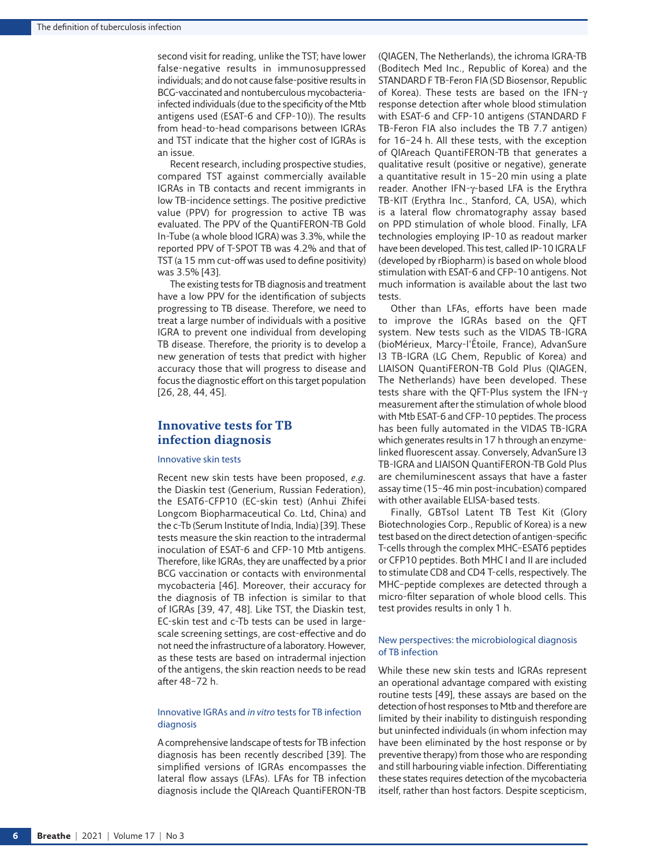second visit for reading, unlike the TST; have lower false-negative results in immunosuppressed individuals; and do not cause false-positive results in BCG-vaccinated and nontuberculous mycobacteriainfected individuals (due to the specificity of the Mtb antigens used (ESAT-6 and CFP-10)). The results from head-to-head comparisons between IGRAs and TST indicate that the higher cost of IGRAs is an issue.

Recent research, including prospective studies, compared TST against commercially available IGRAs in TB contacts and recent immigrants in low TB-incidence settings. The positive predictive value (PPV) for progression to active TB was evaluated. The PPV of the QuantiFERON-TB Gold In-Tube (a whole blood IGRA) was 3.3%, while the reported PPV of T-SPOT TB was 4.2% and that of TST (a 15 mm cut-off was used to define positivity) was 3.5% [\[43\]](#page-11-16).

The existing tests for TB diagnosis and treatment have a low PPV for the identification of subjects progressing to TB disease. Therefore, we need to treat a large number of individuals with a positive IGRA to prevent one individual from developing TB disease. Therefore, the priority is to develop a new generation of tests that predict with higher accuracy those that will progress to disease and focus the diagnostic effort on this target population [\[26,](#page-11-1) [28,](#page-11-2) [44,](#page-11-17) [45\]](#page-11-18).

## **Innovative tests for TB infection diagnosis**

#### Innovative skin tests

Recent new skin tests have been proposed, *e.g.* the Diaskin test (Generium, Russian Federation), the ESAT6-CFP10 (EC-skin test) (Anhui Zhifei Longcom Biopharmaceutical Co. Ltd, China) and the c-Tb (Serum Institute of India, India) [\[39\]](#page-11-13). These tests measure the skin reaction to the intradermal inoculation of ESAT-6 and CFP-10 Mtb antigens. Therefore, like IGRAs, they are unaffected by a prior BCG vaccination or contacts with environmental mycobacteria [[46](#page-11-19)]. Moreover, their accuracy for the diagnosis of TB infection is similar to that of IGRAs [[39,](#page-11-13) [47,](#page-11-20) [48\]](#page-11-21). Like TST, the Diaskin test, EC-skin test and c-Tb tests can be used in largescale screening settings, are cost-effective and do not need the infrastructure of a laboratory. However, as these tests are based on intradermal injection of the antigens, the skin reaction needs to be read after 48–72 h.

#### Innovative IGRAs and *in vitro* tests for TB infection diagnosis

A comprehensive landscape of tests for TB infection diagnosis has been recently described [\[39\]](#page-11-13). The simplified versions of IGRAs encompasses the lateral flow assays (LFAs). LFAs for TB infection diagnosis include the QIAreach QuantiFERON-TB (QIAGEN, The Netherlands), the ichroma IGRA-TB (Boditech Med Inc., Republic of Korea) and the STANDARD F TB-Feron FIA (SD Biosensor, Republic of Korea). These tests are based on the IFN-γ response detection after whole blood stimulation with ESAT-6 and CFP-10 antigens (STANDARD F TB-Feron FIA also includes the TB 7.7 antigen) for 16–24 h. All these tests, with the exception of QIAreach QuantiFERON-TB that generates a qualitative result (positive or negative), generate a quantitative result in 15–20 min using a plate reader. Another IFN-γ-based LFA is the Erythra TB-KIT (Erythra Inc., Stanford, CA, USA), which is a lateral flow chromatography assay based on PPD stimulation of whole blood. Finally, LFA technologies employing IP-10 as readout marker have been developed. This test, called IP-10 IGRA LF (developed by rBiopharm) is based on whole blood stimulation with ESAT-6 and CFP-10 antigens. Not much information is available about the last two tests.

Other than LFAs, efforts have been made to improve the IGRAs based on the QFT system. New tests such as the VIDAS TB-IGRA (bioMérieux, Marcy-l'Étoile, France), AdvanSure I3 TB-IGRA (LG Chem, Republic of Korea) and LIAISON QuantiFERON-TB Gold Plus (QIAGEN, The Netherlands) have been developed. These tests share with the QFT-Plus system the IFN-γ measurement after the stimulation of whole blood with Mtb ESAT-6 and CFP-10 peptides. The process has been fully automated in the VIDAS TB-IGRA which generates results in 17 h through an enzymelinked fluorescent assay. Conversely, AdvanSure I3 TB-IGRA and LIAISON QuantiFERON-TB Gold Plus are chemiluminescent assays that have a faster assay time (15–46 min post-incubation) compared with other available ELISA-based tests.

Finally, GBTsol Latent TB Test Kit (Glory Biotechnologies Corp., Republic of Korea) is a new test based on the direct detection of antigen-specific T-cells through the complex MHC–ESAT6 peptides or CFP10 peptides. Both MHC I and II are included to stimulate CD8 and CD4 T-cells, respectively. The MHC–peptide complexes are detected through a micro-filter separation of whole blood cells. This test provides results in only 1 h.

#### New perspectives: the microbiological diagnosis of TB infection

While these new skin tests and IGRAs represent an operational advantage compared with existing routine tests [[49](#page-11-22)], these assays are based on the detection of host responses to Mtb and therefore are limited by their inability to distinguish responding but uninfected individuals (in whom infection may have been eliminated by the host response or by preventive therapy) from those who are responding and still harbouring viable infection. Differentiating these states requires detection of the mycobacteria itself, rather than host factors. Despite scepticism,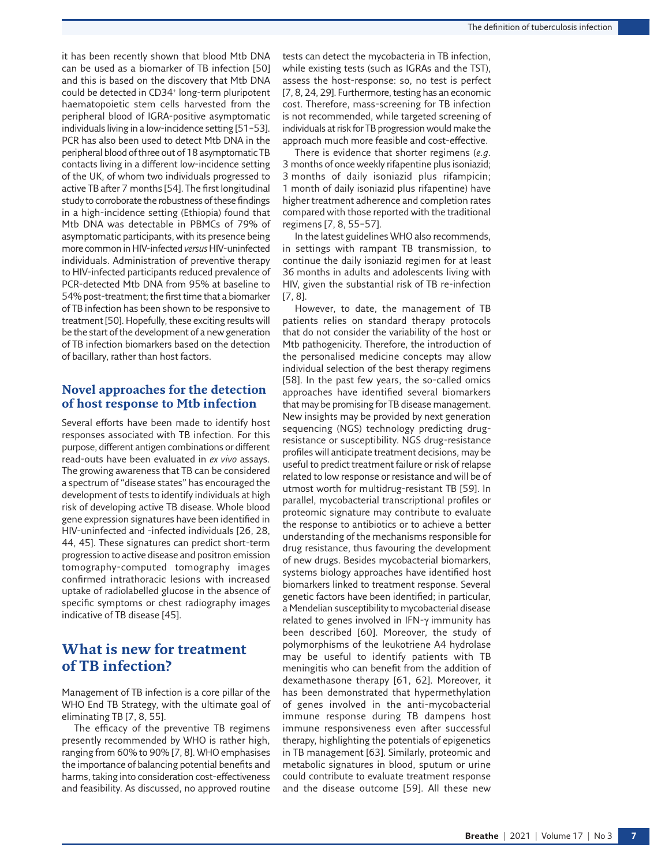it has been recently shown that blood Mtb DNA can be used as a biomarker of TB infection [\[50](#page-11-23)] and this is based on the discovery that Mtb DNA could be detected in CD34<sup>+</sup> long-term pluripotent haematopoietic stem cells harvested from the peripheral blood of IGRA-positive asymptomatic individuals living in a low-incidence setting [\[51](#page-11-24)–[53\]](#page-11-25). PCR has also been used to detect Mtb DNA in the peripheral blood of three out of 18 asymptomatic TB contacts living in a different low-incidence setting of the UK, of whom two individuals progressed to active TB after 7 months [\[54](#page-11-26)]. The first longitudinal study to corroborate the robustness of these findings in a high-incidence setting (Ethiopia) found that Mtb DNA was detectable in PBMCs of 79% of asymptomatic participants, with its presence being more common in HIV-infected *versus* HIV-uninfected individuals. Administration of preventive therapy to HIV-infected participants reduced prevalence of PCR-detected Mtb DNA from 95% at baseline to 54% post-treatment; the first time that a biomarker of TB infection has been shown to be responsive to treatment [[50](#page-11-23)]. Hopefully, these exciting results will be the start of the development of a new generation of TB infection biomarkers based on the detection of bacillary, rather than host factors.

## **Novel approaches for the detection of host response to Mtb infection**

Several efforts have been made to identify host responses associated with TB infection. For this purpose, different antigen combinations or different read-outs have been evaluated in *ex vivo* assays. The growing awareness that TB can be considered a spectrum of "disease states" has encouraged the development of tests to identify individuals at high risk of developing active TB disease. Whole blood gene expression signatures have been identified in HIV-uninfected and -infected individuals [\[26,](#page-11-1) [28](#page-11-2), [44](#page-11-17), [45](#page-11-18)]. These signatures can predict short-term progression to active disease and positron emission tomography-computed tomography images confirmed intrathoracic lesions with increased uptake of radiolabelled glucose in the absence of specific symptoms or chest radiography images indicative of TB disease [[45\]](#page-11-18).

## **What is new for treatment of TB infection?**

Management of TB infection is a core pillar of the WHO End TB Strategy, with the ultimate goal of eliminating TB [\[7,](#page-10-6) [8](#page-10-7), [55](#page-11-27)].

The efficacy of the preventive TB regimens presently recommended by WHO is rather high, ranging from 60% to 90% [\[7,](#page-10-6) [8](#page-10-7)]. WHO emphasises the importance of balancing potential benefits and harms, taking into consideration cost-effectiveness and feasibility. As discussed, no approved routine

tests can detect the mycobacteria in TB infection, while existing tests (such as IGRAs and the TST), assess the host-response: so, no test is perfect [\[7,](#page-10-6) [8](#page-10-7), [24,](#page-10-18) [29\]](#page-11-4). Furthermore, testing has an economic cost. Therefore, mass-screening for TB infection is not recommended, while targeted screening of individuals at risk for TB progression would make the approach much more feasible and cost-effective.

There is evidence that shorter regimens (*e.g.* 3 months of once weekly rifapentine plus isoniazid; 3 months of daily isoniazid plus rifampicin; 1 month of daily isoniazid plus rifapentine) have higher treatment adherence and completion rates compared with those reported with the traditional regimens [[7](#page-10-6), [8,](#page-10-7) [55](#page-11-27)[–57](#page-11-28)].

In the latest guidelines WHO also recommends, in settings with rampant TB transmission, to continue the daily isoniazid regimen for at least 36 months in adults and adolescents living with HIV, given the substantial risk of TB re-infection [[7,](#page-10-6) [8\]](#page-10-7).

However, to date, the management of TB patients relies on standard therapy protocols that do not consider the variability of the host or Mtb pathogenicity. Therefore, the introduction of the personalised medicine concepts may allow individual selection of the best therapy regimens [[58](#page-11-29)]. In the past few years, the so-called omics approaches have identified several biomarkers that may be promising for TB disease management. New insights may be provided by next generation sequencing (NGS) technology predicting drugresistance or susceptibility. NGS drug-resistance profiles will anticipate treatment decisions, may be useful to predict treatment failure or risk of relapse related to low response or resistance and will be of utmost worth for multidrug-resistant TB [\[59\]](#page-11-30). In parallel, mycobacterial transcriptional profiles or proteomic signature may contribute to evaluate the response to antibiotics or to achieve a better understanding of the mechanisms responsible for drug resistance, thus favouring the development of new drugs. Besides mycobacterial biomarkers, systems biology approaches have identified host biomarkers linked to treatment response. Several genetic factors have been identified; in particular, a Mendelian susceptibility to mycobacterial disease related to genes involved in IFN-γ immunity has been described [\[60](#page-11-31)]. Moreover, the study of polymorphisms of the leukotriene A4 hydrolase may be useful to identify patients with TB meningitis who can benefit from the addition of dexamethasone therapy [\[61](#page-11-32), [62\]](#page-11-33). Moreover, it has been demonstrated that hypermethylation of genes involved in the anti-mycobacterial immune response during TB dampens host immune responsiveness even after successful therapy, highlighting the potentials of epigenetics in TB management [\[63\]](#page-11-34). Similarly, proteomic and metabolic signatures in blood, sputum or urine could contribute to evaluate treatment response and the disease outcome [\[59](#page-11-30)]. All these new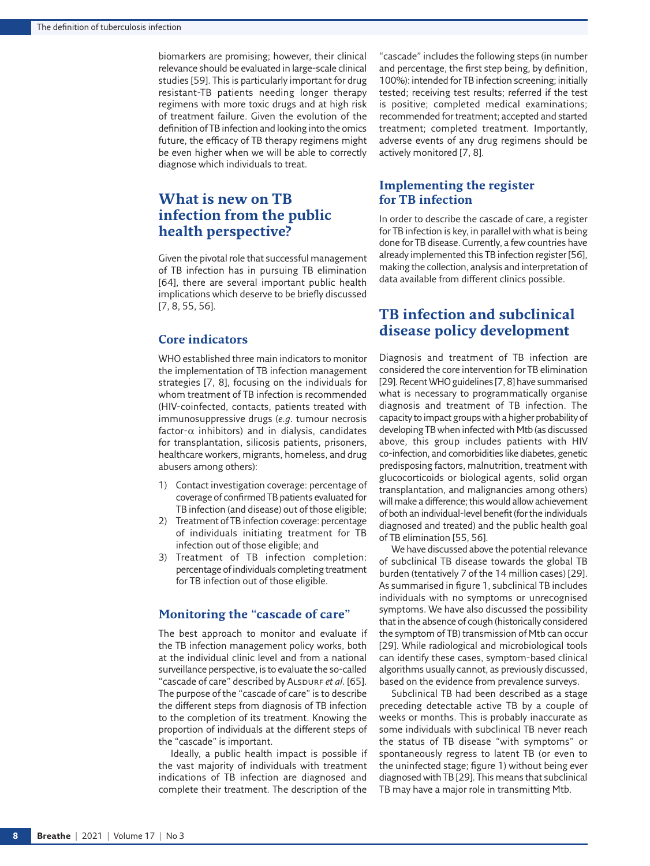biomarkers are promising; however, their clinical relevance should be evaluated in large-scale clinical studies [\[59](#page-11-30)]. This is particularly important for drug resistant-TB patients needing longer therapy regimens with more toxic drugs and at high risk of treatment failure. Given the evolution of the definition of TB infection and looking into the omics future, the efficacy of TB therapy regimens might be even higher when we will be able to correctly diagnose which individuals to treat.

## **What is new on TB infection from the public health perspective?**

Given the pivotal role that successful management of TB infection has in pursuing TB elimination [[64\]](#page-11-35), there are several important public health implications which deserve to be briefly discussed [[7](#page-10-6), [8,](#page-10-7) [55,](#page-11-27) [56\]](#page-11-36).

## **Core indicators**

WHO established three main indicators to monitor the implementation of TB infection management strategies [\[7,](#page-10-6) [8\]](#page-10-7), focusing on the individuals for whom treatment of TB infection is recommended (HIV-coinfected, contacts, patients treated with immunosuppressive drugs (*e.g.* tumour necrosis factor- $\alpha$  inhibitors) and in dialysis, candidates for transplantation, silicosis patients, prisoners, healthcare workers, migrants, homeless, and drug abusers among others):

- 1) Contact investigation coverage: percentage of coverage of confirmed TB patients evaluated for TB infection (and disease) out of those eligible;
- 2) Treatment of TB infection coverage: percentage of individuals initiating treatment for TB infection out of those eligible; and
- 3) Treatment of TB infection completion: percentage of individuals completing treatment for TB infection out of those eligible.

### **Monitoring the "cascade of care"**

The best approach to monitor and evaluate if the TB infection management policy works, both at the individual clinic level and from a national surveillance perspective, is to evaluate the so-called "cascade of care" described by ALSDURF et al. [[65](#page-11-37)]. The purpose of the "cascade of care" is to describe the different steps from diagnosis of TB infection to the completion of its treatment. Knowing the proportion of individuals at the different steps of the "cascade" is important.

Ideally, a public health impact is possible if the vast majority of individuals with treatment indications of TB infection are diagnosed and complete their treatment. The description of the

"cascade" includes the following steps (in number and percentage, the first step being, by definition, 100%): intended for TB infection screening; initially tested; receiving test results; referred if the test is positive; completed medical examinations; recommended for treatment; accepted and started treatment; completed treatment. Importantly, adverse events of any drug regimens should be actively monitored [[7](#page-10-6), [8\]](#page-10-7).

## **Implementing the register for TB infection**

In order to describe the cascade of care, a register for TB infection is key, in parallel with what is being done for TB disease. Currently, a few countries have already implemented this TB infection register [\[56\]](#page-11-36), making the collection, analysis and interpretation of data available from different clinics possible.

## **TB infection and subclinical disease policy development**

Diagnosis and treatment of TB infection are considered the core intervention for TB elimination [\[29](#page-11-4)]. Recent WHO guidelines [\[7,](#page-10-6) [8\]](#page-10-7) have summarised what is necessary to programmatically organise diagnosis and treatment of TB infection. The capacity to impact groups with a higher probability of developing TB when infected with Mtb (as discussed above, this group includes patients with HIV co-infection, and comorbidities like diabetes, genetic predisposing factors, malnutrition, treatment with glucocorticoids or biological agents, solid organ transplantation, and malignancies among others) will make a difference; this would allow achievement of both an individual-level benefit (for the individuals diagnosed and treated) and the public health goal of TB elimination [\[55,](#page-11-27) [56\]](#page-11-36).

We have discussed above the potential relevance of subclinical TB disease towards the global TB burden (tentatively 7 of the 14 million cases) [\[29\]](#page-11-4). As summarised in [figure 1](#page-2-0), subclinical TB includes individuals with no symptoms or unrecognised symptoms. We have also discussed the possibility that in the absence of cough (historically considered the symptom of TB) transmission of Mtb can occur [\[29\]](#page-11-4). While radiological and microbiological tools can identify these cases, symptom-based clinical algorithms usually cannot, as previously discussed, based on the evidence from prevalence surveys.

Subclinical TB had been described as a stage preceding detectable active TB by a couple of weeks or months. This is probably inaccurate as some individuals with subclinical TB never reach the status of TB disease "with symptoms" or spontaneously regress to latent TB (or even to the uninfected stage; [figure 1\)](#page-2-0) without being ever diagnosed with TB [\[29\]](#page-11-4). This means that subclinical TB may have a major role in transmitting Mtb.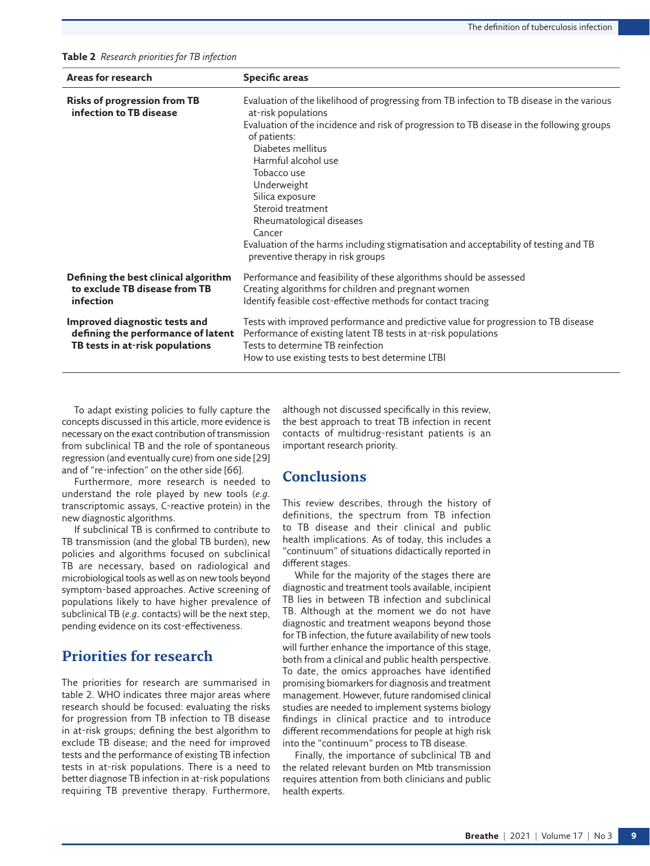<span id="page-8-0"></span>**Table 2** *Research priorities for TB infection*

| Areas for research                                                                                     | <b>Specific areas</b>                                                                                                                                                                                                                                                                                                                                                                                                                                                                                               |
|--------------------------------------------------------------------------------------------------------|---------------------------------------------------------------------------------------------------------------------------------------------------------------------------------------------------------------------------------------------------------------------------------------------------------------------------------------------------------------------------------------------------------------------------------------------------------------------------------------------------------------------|
| <b>Risks of progression from TB</b><br>infection to TB disease                                         | Evaluation of the likelihood of progressing from TB infection to TB disease in the various<br>at-risk populations<br>Evaluation of the incidence and risk of progression to TB disease in the following groups<br>of patients:<br>Diabetes mellitus<br>Harmful alcohol use<br>Tobacco use<br>Underweight<br>Silica exposure<br>Steroid treatment<br>Rheumatological diseases<br>Cancer<br>Evaluation of the harms including stigmatisation and acceptability of testing and TB<br>preventive therapy in risk groups |
| Defining the best clinical algorithm<br>to exclude TB disease from TB<br>infection                     | Performance and feasibility of these algorithms should be assessed<br>Creating algorithms for children and pregnant women<br>Identify feasible cost-effective methods for contact tracing                                                                                                                                                                                                                                                                                                                           |
| Improved diagnostic tests and<br>defining the performance of latent<br>TB tests in at-risk populations | Tests with improved performance and predictive value for progression to TB disease<br>Performance of existing latent TB tests in at-risk populations<br>Tests to determine TB reinfection<br>How to use existing tests to best determine LTBI                                                                                                                                                                                                                                                                       |

To adapt existing policies to fully capture the concepts discussed in this article, more evidence is necessary on the exact contribution of transmission from subclinical TB and the role of spontaneous regression (and eventually cure) from one side [[29](#page-11-4)] and of "re-infection" on the other side [\[66\]](#page-11-38).

Furthermore, more research is needed to understand the role played by new tools (*e.g.* transcriptomic assays, C-reactive protein) in the new diagnostic algorithms.

If subclinical TB is confirmed to contribute to TB transmission (and the global TB burden), new policies and algorithms focused on subclinical TB are necessary, based on radiological and microbiological tools as well as on new tools beyond symptom-based approaches. Active screening of populations likely to have higher prevalence of subclinical TB (*e.g.* contacts) will be the next step, pending evidence on its cost-effectiveness.

## **Priorities for research**

The priorities for research are summarised in [table 2](#page-8-0). WHO indicates three major areas where research should be focused: evaluating the risks for progression from TB infection to TB disease in at-risk groups; defining the best algorithm to exclude TB disease; and the need for improved tests and the performance of existing TB infection tests in at-risk populations. There is a need to better diagnose TB infection in at-risk populations requiring TB preventive therapy. Furthermore,

although not discussed specifically in this review, the best approach to treat TB infection in recent contacts of multidrug-resistant patients is an important research priority.

## **Conclusions**

This review describes, through the history of definitions, the spectrum from TB infection to TB disease and their clinical and public health implications. As of today, this includes a "continuum" of situations didactically reported in different stages.

While for the majority of the stages there are diagnostic and treatment tools available, incipient TB lies in between TB infection and subclinical TB. Although at the moment we do not have diagnostic and treatment weapons beyond those for TB infection, the future availability of new tools will further enhance the importance of this stage, both from a clinical and public health perspective. To date, the omics approaches have identified promising biomarkers for diagnosis and treatment management. However, future randomised clinical studies are needed to implement systems biology findings in clinical practice and to introduce different recommendations for people at high risk into the "continuum" process to TB disease.

Finally, the importance of subclinical TB and the related relevant burden on Mtb transmission requires attention from both clinicians and public health experts.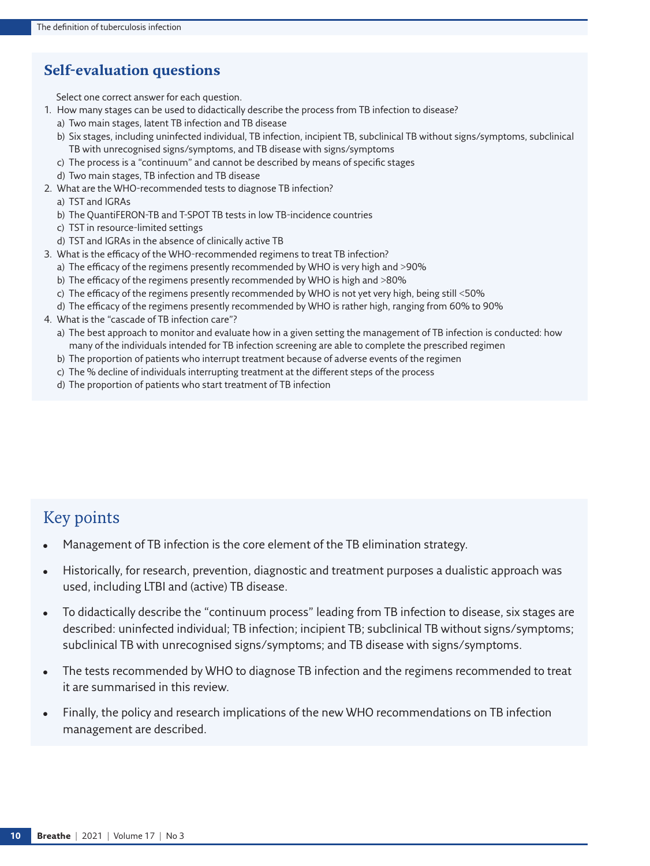# **Self-evaluation questions**

Select one correct answer for each question.

- 1. How many stages can be used to didactically describe the process from TB infection to disease?
	- a) Two main stages, latent TB infection and TB disease
	- b) Six stages, including uninfected individual, TB infection, incipient TB, subclinical TB without signs/symptoms, subclinical TB with unrecognised signs/symptoms, and TB disease with signs/symptoms
	- c) The process is a "continuum" and cannot be described by means of specific stages
	- d) Two main stages, TB infection and TB disease
- 2. What are the WHO-recommended tests to diagnose TB infection?
	- a) TST and IGRAs
	- b) The QuantiFERON-TB and T-SPOT TB tests in low TB-incidence countries
	- c) TST in resource-limited settings
	- d) TST and IGRAs in the absence of clinically active TB
- 3. What is the efficacy of the WHO-recommended regimens to treat TB infection?
	- a) The efficacy of the regimens presently recommended by WHO is very high and >90%
	- b) The efficacy of the regimens presently recommended by WHO is high and >80%
	- c) The efficacy of the regimens presently recommended by WHO is not yet very high, being still <50%
	- d) The efficacy of the regimens presently recommended by WHO is rather high, ranging from 60% to 90%
- 4. What is the "cascade of TB infection care"?
	- a) The best approach to monitor and evaluate how in a given setting the management of TB infection is conducted: how many of the individuals intended for TB infection screening are able to complete the prescribed regimen
	- b) The proportion of patients who interrupt treatment because of adverse events of the regimen
	- c) The % decline of individuals interrupting treatment at the different steps of the process
	- d) The proportion of patients who start treatment of TB infection

# Key points

- Management of TB infection is the core element of the TB elimination strategy.
- Historically, for research, prevention, diagnostic and treatment purposes a dualistic approach was used, including LTBI and (active) TB disease.
- To didactically describe the "continuum process" leading from TB infection to disease, six stages are described: uninfected individual; TB infection; incipient TB; subclinical TB without signs/symptoms; subclinical TB with unrecognised signs/symptoms; and TB disease with signs/symptoms.
- The tests recommended by WHO to diagnose TB infection and the regimens recommended to treat it are summarised in this review.
- Finally, the policy and research implications of the new WHO recommendations on TB infection management are described.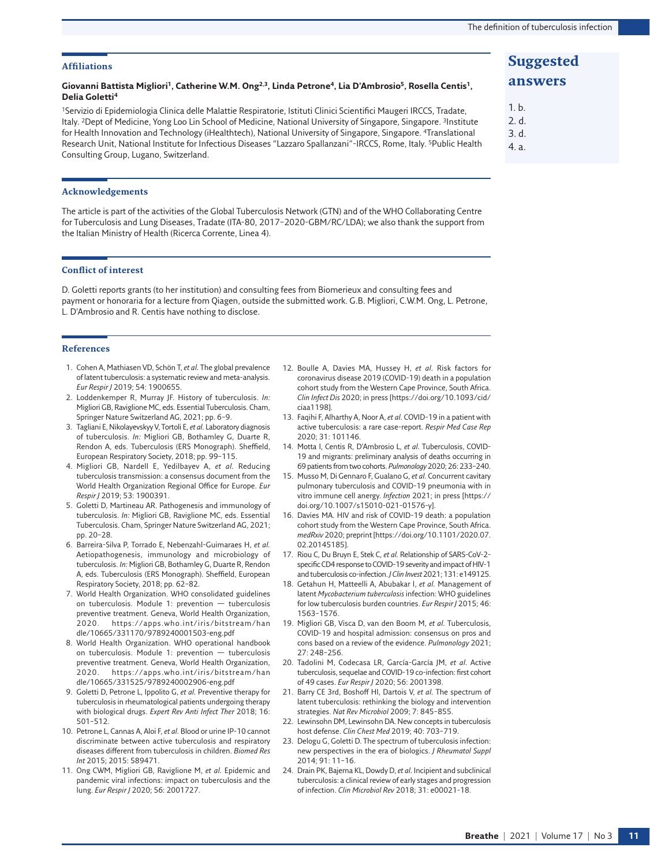#### **Affiliations**

#### Giovanni Battista Migliori<sup>1</sup>, Catherine W.M. Ong<sup>2,3</sup>, Linda Petrone<sup>4</sup>, Lia D'Ambrosio<sup>5</sup>, Rosella Centis<sup>1</sup>, **Delia Goletti4**

1Servizio di Epidemiologia Clinica delle Malattie Respiratorie, Istituti Clinici Scientifici Maugeri IRCCS, Tradate, Italy. <sup>2</sup>Dept of Medicine, Yong Loo Lin School of Medicine, National University of Singapore, Singapore. <sup>3</sup>Institute for Health Innovation and Technology (iHealthtech), National University of Singapore, Singapore. <sup>4</sup>Translational Research Unit, National Institute for Infectious Diseases "Lazzaro Spallanzani"-IRCCS, Rome, Italy. 5Public Health Consulting Group, Lugano, Switzerland.

#### **Acknowledgements**

The article is part of the activities of the Global Tuberculosis Network (GTN) and of the WHO Collaborating Centre for Tuberculosis and Lung Diseases, Tradate (ITA-80, 2017–2020-GBM/RC/LDA); we also thank the support from the Italian Ministry of Health (Ricerca Corrente, Linea 4).

#### **Conflict of interest**

D. Goletti reports grants (to her institution) and consulting fees from Biomerieux and consulting fees and payment or honoraria for a lecture from Qiagen, outside the submitted work. G.B. Migliori, C.W.M. Ong, L. Petrone, L. D'Ambrosio and R. Centis have nothing to disclose.

#### **References**

- <span id="page-10-0"></span>1. Cohen A, Mathiasen VD, Schön T, *et al.* The global prevalence of latent tuberculosis: a systematic review and meta-analysis. *Eur Respir J* 2019; 54: 1900655.
- <span id="page-10-1"></span>2. Loddenkemper R, Murray JF. History of tuberculosis. *In:* Migliori GB, Raviglione MC, eds. Essential Tuberculosis. Cham, Springer Nature Switzerland AG, 2021; pp. 6–9.
- <span id="page-10-2"></span>3. Tagliani E, Nikolayevskyy V, Tortoli E, *et al.* Laboratory diagnosis of tuberculosis. *In:* Migliori GB, Bothamley G, Duarte R, Rendon A, eds. Tuberculosis (ERS Monograph). Sheffield, European Respiratory Society, 2018; pp. 99–115.
- <span id="page-10-3"></span>4. Migliori GB, Nardell E, Yedilbayev A, *et al.* Reducing tuberculosis transmission: a consensus document from the World Health Organization Regional Office for Europe. *Eur Respir J* 2019; 53: 1900391.
- <span id="page-10-4"></span>5. Goletti D, Martineau AR. Pathogenesis and immunology of tuberculosis. *In:* Migliori GB, Raviglione MC, eds. Essential Tuberculosis. Cham, Springer Nature Switzerland AG, 2021; pp. 20–28.
- <span id="page-10-5"></span>6. Barreira-Silva P, Torrado E, Nebenzahl-Guimaraes H, *et al.* Aetiopathogenesis, immunology and microbiology of tuberculosis. *In:* Migliori GB, Bothamley G, Duarte R, Rendon A, eds. Tuberculosis (ERS Monograph). Sheffield, European Respiratory Society, 2018; pp. 62–82.
- <span id="page-10-6"></span>7. World Health Organization. WHO consolidated guidelines on tuberculosis. Module 1: prevention — tuberculosis preventive treatment. Geneva, World Health Organization, 2020. [https://apps.who.int/iris/bitstream/han](https://apps.who.int/iris/bitstream/handle/10665/331170/9789240001503-eng.pdf) [dle/10665/331170/9789240001503-eng.pdf](https://apps.who.int/iris/bitstream/handle/10665/331170/9789240001503-eng.pdf)
- <span id="page-10-7"></span>8. World Health Organization. WHO operational handbook on tuberculosis. Module 1: prevention — tuberculosis preventive treatment. Geneva, World Health Organization, 2020. [https://apps.who.int/iris/bitstream/han](https://apps.who.int/iris/bitstream/handle/10665/331525/9789240002906-eng.pdf) [dle/10665/331525/9789240002906-eng.pdf](https://apps.who.int/iris/bitstream/handle/10665/331525/9789240002906-eng.pdf)
- <span id="page-10-8"></span>9. Goletti D, Petrone L, Ippolito G, *et al.* Preventive therapy for tuberculosis in rheumatological patients undergoing therapy with biological drugs. *Expert Rev Anti Infect Ther* 2018; 16: 501–512.
- <span id="page-10-19"></span>10. Petrone L, Cannas A, Aloi F, *et al.* Blood or urine IP-10 cannot discriminate between active tuberculosis and respiratory diseases different from tuberculosis in children. *Biomed Res Int* 2015; 2015: 589471.
- <span id="page-10-9"></span>11. Ong CWM, Migliori GB, Raviglione M, *et al.* Epidemic and pandemic viral infections: impact on tuberculosis and the lung. *Eur Respir J* 2020; 56: 2001727.
- <span id="page-10-10"></span>12. Boulle A, Davies MA, Hussey H, *et al.* Risk factors for coronavirus disease 2019 (COVID-19) death in a population cohort study from the Western Cape Province, South Africa. *Clin Infect Dis* 2020; in press [\[https://doi.org/10.1093/cid/](https://doi.org/10.1093/cid/ciaa1198) [ciaa1198](https://doi.org/10.1093/cid/ciaa1198)].
- 13. Faqihi F, Alharthy A, Noor A, *et al.* COVID-19 in a patient with active tuberculosis: a rare case-report. *Respir Med Case Rep* 2020; 31: 101146.
- 14. Motta I, Centis R, D'Ambrosio L, *et al.* Tuberculosis, COVID-19 and migrants: preliminary analysis of deaths occurring in 69patients from two cohorts. *Pulmonology* 2020; 26: 233–240.
- 15. Musso M, Di Gennaro F, Gualano G, *et al.* Concurrent cavitary pulmonary tuberculosis and COVID-19 pneumonia with in vitro immune cell anergy. *Infection* 2021; in press [[https://](https://doi.org/10.1007/s15010-021-01576-y) [doi.org/10.1007/s15010-021-01576-y\]](https://doi.org/10.1007/s15010-021-01576-y).
- <span id="page-10-11"></span>16. Davies MA. HIV and risk of COVID-19 death: a population cohort study from the Western Cape Province, South Africa. *medRxiv* 2020; preprint [\[https://doi.org/10.1101/2020.07.](https://doi.org/10.1101/2020.07.02.20145185) [02.20145185\]](https://doi.org/10.1101/2020.07.02.20145185).
- <span id="page-10-12"></span>17. Riou C, Du Bruyn E, Stek C, *et al.* Relationship of SARS-CoV-2 specific CD4 response to COVID-19 severity and impact of HIV-1 and tuberculosis co-infection. *J Clin Invest* 2021; 131: e149125.
- <span id="page-10-13"></span>18. Getahun H, Matteelli A, Abubakar I, *et al.* Management of latent *Mycobacterium tuberculosis* infection: WHO guidelines for low tuberculosis burden countries. *Eur Respir J* 2015; 46: 1563–1576.
- <span id="page-10-14"></span>19. Migliori GB, Visca D, van den Boom M, *et al.* Tuberculosis, COVID-19 and hospital admission: consensus on pros and cons based on a review of the evidence. *Pulmonology* 2021; 27: 248–256.
- <span id="page-10-15"></span>20. Tadolini M, Codecasa LR, García-García JM, *et al.* Active tuberculosis, sequelae and COVID-19 co-infection: first cohort of 49 cases. *Eur Respir J* 2020; 56: 2001398.
- <span id="page-10-16"></span>21. Barry CE 3rd, Boshoff HI, Dartois V, *et al.* The spectrum of latent tuberculosis: rethinking the biology and intervention strategies. *Nat Rev Microbiol* 2009; 7: 845–855.
- 22. Lewinsohn DM, Lewinsohn DA. New concepts in tuberculosis host defense. *Clin Chest Med* 2019; 40: 703–719.
- <span id="page-10-17"></span>23. Delogu G, Goletti D. The spectrum of tuberculosis infection: new perspectives in the era of biologics. *J Rheumatol Suppl* 2014; 91: 11–16.
- <span id="page-10-18"></span>24. Drain PK, Bajema KL, Dowdy D, *et al.* Incipient and subclinical tuberculosis: a clinical review of early stages and progression of infection. *Clin Microbiol Rev* 2018; 31: e00021-18.

## **Suggested answers**

- 1. b. 2. d.
- 3. d.
- 4. a.